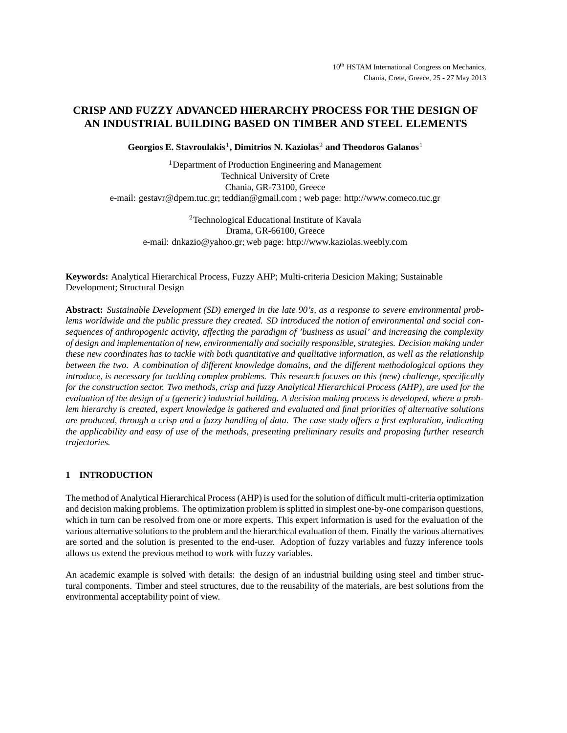# **CRISP AND FUZZY ADVANCED HIERARCHY PROCESS FOR THE DESIGN OF AN INDUSTRIAL BUILDING BASED ON TIMBER AND STEEL ELEMENTS**

**Georgios E. Stavroulakis**1**, Dimitrios N. Kaziolas**<sup>2</sup> **and Theodoros Galanos**<sup>1</sup>

<sup>1</sup>Department of Production Engineering and Management Technical University of Crete Chania, GR-73100, Greece e-mail: gestavr@dpem.tuc.gr; teddian@gmail.com ; web page: http://www.comeco.tuc.gr

<sup>2</sup>Technological Educational Institute of Kavala Drama, GR-66100, Greece e-mail: dnkazio@yahoo.gr; web page: http://www.kaziolas.weebly.com

**Keywords:** Analytical Hierarchical Process, Fuzzy AHP; Multi-criteria Desicion Making; Sustainable Development; Structural Design

**Abstract:** *Sustainable Development (SD) emerged in the late 90's, as a response to severe environmental problems worldwide and the public pressure they created. SD introduced the notion of environmental and social consequences of anthropogenic activity, affecting the paradigm of 'business as usual' and increasing the complexity of design and implementation of new, environmentally and socially responsible, strategies. Decision making under these new coordinates has to tackle with both quantitative and qualitative information, as well as the relationship between the two. A combination of different knowledge domains, and the different methodological options they introduce, is necessary for tackling complex problems. This research focuses on this (new) challenge, specifically for the construction sector. Two methods, crisp and fuzzy Analytical Hierarchical Process (AHP), are used for the evaluation of the design of a (generic) industrial building. A decision making process is developed, where a problem hierarchy is created, expert knowledge is gathered and evaluated and final priorities of alternative solutions are produced, through a crisp and a fuzzy handling of data. The case study offers a first exploration, indicating the applicability and easy of use of the methods, presenting preliminary results and proposing further research trajectories.*

## **1 INTRODUCTION**

The method of Analytical Hierarchical Process (AHP) is used for the solution of difficult multi-criteria optimization and decision making problems. The optimization problem is splitted in simplest one-by-one comparison questions, which in turn can be resolved from one or more experts. This expert information is used for the evaluation of the various alternative solutions to the problem and the hierarchical evaluation of them. Finally the various alternatives are sorted and the solution is presented to the end-user. Adoption of fuzzy variables and fuzzy inference tools allows us extend the previous method to work with fuzzy variables.

An academic example is solved with details: the design of an industrial building using steel and timber structural components. Timber and steel structures, due to the reusability of the materials, are best solutions from the environmental acceptability point of view.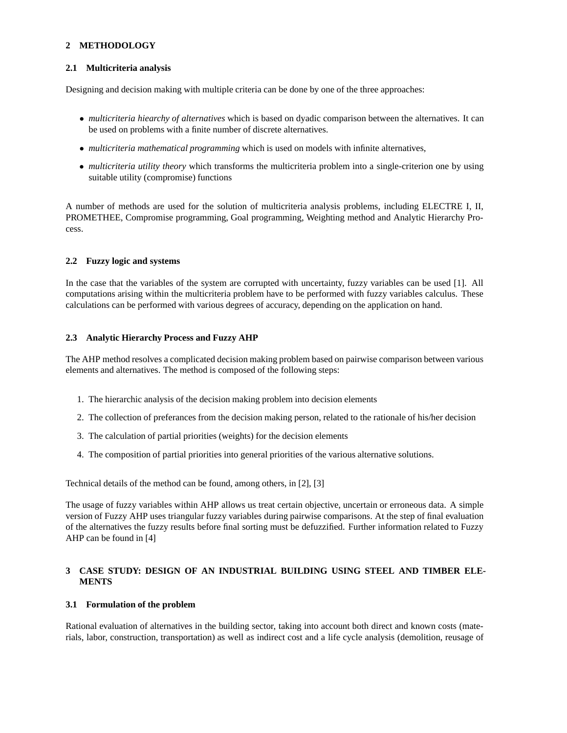## **2 METHODOLOGY**

### **2.1 Multicriteria analysis**

Designing and decision making with multiple criteria can be done by one of the three approaches:

- *multicriteria hiearchy of alternatives* which is based on dyadic comparison between the alternatives. It can be used on problems with a finite number of discrete alternatives.
- *multicriteria mathematical programming* which is used on models with infinite alternatives,
- *multicriteria utility theory* which transforms the multicriteria problem into a single-criterion one by using suitable utility (compromise) functions

A number of methods are used for the solution of multicriteria analysis problems, including ELECTRE I, II, PROMETHEE, Compromise programming, Goal programming, Weighting method and Analytic Hierarchy Process.

### **2.2 Fuzzy logic and systems**

In the case that the variables of the system are corrupted with uncertainty, fuzzy variables can be used [1]. All computations arising within the multicriteria problem have to be performed with fuzzy variables calculus. These calculations can be performed with various degrees of accuracy, depending on the application on hand.

### **2.3 Analytic Hierarchy Process and Fuzzy AHP**

The AHP method resolves a complicated decision making problem based on pairwise comparison between various elements and alternatives. The method is composed of the following steps:

- 1. The hierarchic analysis of the decision making problem into decision elements
- 2. The collection of preferances from the decision making person, related to the rationale of his/her decision
- 3. The calculation of partial priorities (weights) for the decision elements
- 4. The composition of partial priorities into general priorities of the various alternative solutions.

Technical details of the method can be found, among others, in [2], [3]

The usage of fuzzy variables within AHP allows us treat certain objective, uncertain or erroneous data. A simple version of Fuzzy AHP uses triangular fuzzy variables during pairwise comparisons. At the step of final evaluation of the alternatives the fuzzy results before final sorting must be defuzzified. Further information related to Fuzzy AHP can be found in [4]

### **3 CASE STUDY: DESIGN OF AN INDUSTRIAL BUILDING USING STEEL AND TIMBER ELE-MENTS**

### **3.1 Formulation of the problem**

Rational evaluation of alternatives in the building sector, taking into account both direct and known costs (materials, labor, construction, transportation) as well as indirect cost and a life cycle analysis (demolition, reusage of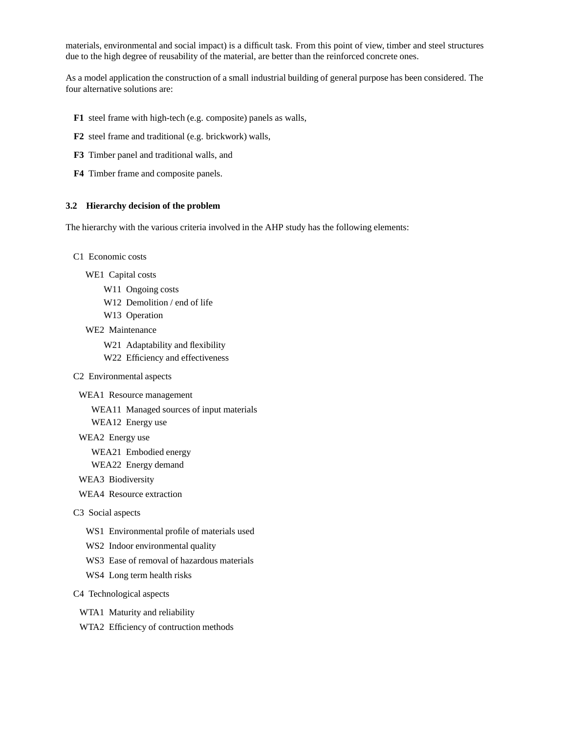materials, environmental and social impact) is a difficult task. From this point of view, timber and steel structures due to the high degree of reusability of the material, are better than the reinforced concrete ones.

As a model application the construction of a small industrial building of general purpose has been considered. The four alternative solutions are:

- **F1** steel frame with high-tech (e.g. composite) panels as walls,
- **F2** steel frame and traditional (e.g. brickwork) walls,
- **F3** Timber panel and traditional walls, and
- **F4** Timber frame and composite panels.

#### **3.2 Hierarchy decision of the problem**

The hierarchy with the various criteria involved in the AHP study has the following elements:

- C1 Economic costs
	- WE1 Capital costs
		- W11 Ongoing costs
		- W12 Demolition / end of life
		- W13 Operation
	- WE2 Maintenance
		- W21 Adaptability and flexibility
		- W22 Efficiency and effectiveness
- C2 Environmental aspects
- WEA1 Resource management
	- WEA11 Managed sources of input materials
	- WEA12 Energy use
- WEA2 Energy use
	- WEA21 Embodied energy
	- WEA22 Energy demand
- WEA3 Biodiversity
- WEA4 Resource extraction
- C3 Social aspects
	- WS1 Environmental profile of materials used
	- WS2 Indoor environmental quality
	- WS3 Ease of removal of hazardous materials
	- WS4 Long term health risks

#### C4 Technological aspects

- WTA1 Maturity and reliability
- WTA2 Efficiency of contruction methods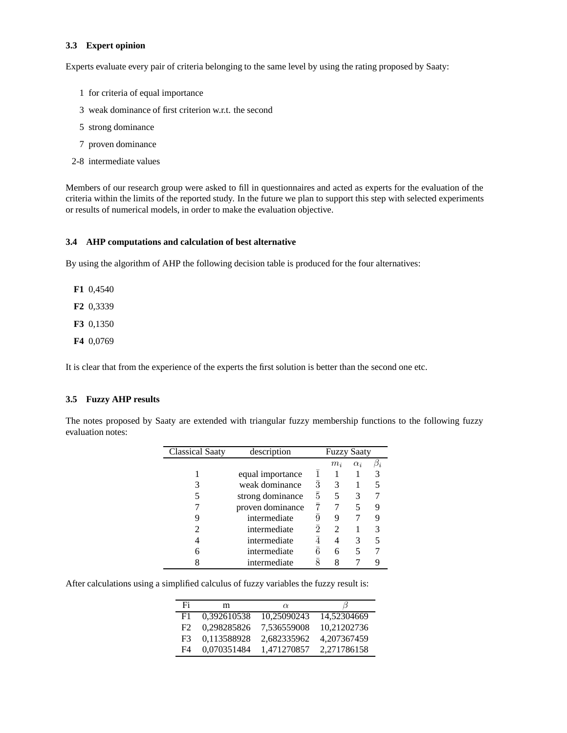### **3.3 Expert opinion**

Experts evaluate every pair of criteria belonging to the same level by using the rating proposed by Saaty:

- 1 for criteria of equal importance
- 3 weak dominance of first criterion w.r.t. the second
- 5 strong dominance
- 7 proven dominance
- 2-8 intermediate values

Members of our research group were asked to fill in questionnaires and acted as experts for the evaluation of the criteria within the limits of the reported study. In the future we plan to support this step with selected experiments or results of numerical models, in order to make the evaluation objective.

### **3.4 AHP computations and calculation of best alternative**

By using the algorithm of AHP the following decision table is produced for the four alternatives:

**F1** 0,4540

**F2** 0,3339

**F3** 0,1350

**F4** 0,0769

It is clear that from the experience of the experts the first solution is better than the second one etc.

## **3.5 Fuzzy AHP results**

The notes proposed by Saaty are extended with triangular fuzzy membership functions to the following fuzzy evaluation notes:

| <b>Classical Saaty</b> | description      |                | <b>Fuzzy Saaty</b>    |            |  |
|------------------------|------------------|----------------|-----------------------|------------|--|
|                        |                  |                | $m_i$                 | $\alpha_i$ |  |
|                        | equal importance |                |                       |            |  |
|                        | weak dominance   | 3              |                       |            |  |
|                        | strong dominance | 5              | 5                     |            |  |
|                        | proven dominance |                |                       |            |  |
|                        | intermediate     |                |                       |            |  |
|                        | intermediate     | $\overline{2}$ | $\mathcal{D}_{\cdot}$ |            |  |
|                        | intermediate     |                |                       |            |  |
|                        | intermediate     | 6              | 6                     |            |  |
|                        | intermediate     |                |                       |            |  |

After calculations using a simplified calculus of fuzzy variables the fuzzy result is:

| Fi  | m           | $\alpha$    |             |
|-----|-------------|-------------|-------------|
| F1. | 0.392610538 | 10.25090243 | 14.52304669 |
| F2  | 0.298285826 | 7.536559008 | 10,21202736 |
| F3  | 0,113588928 | 2.682335962 | 4.207367459 |
| F4  | 0,070351484 | 1,471270857 | 2,271786158 |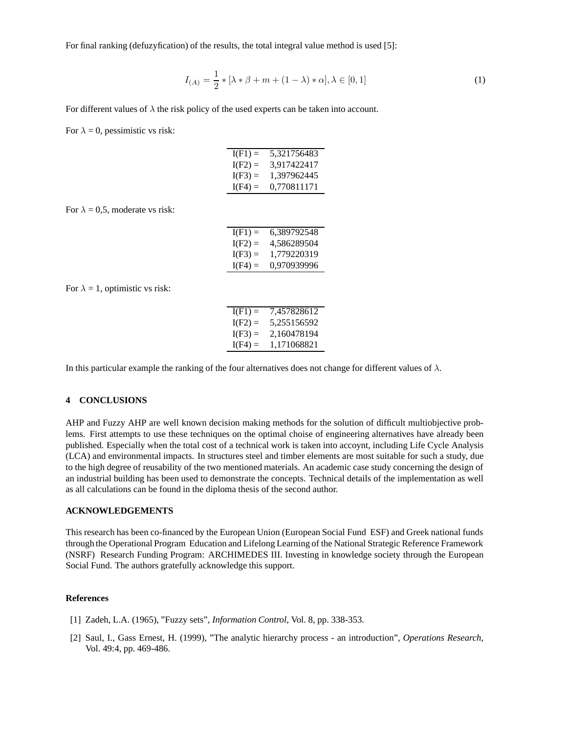For final ranking (defuzyfication) of the results, the total integral value method is used [5]:

$$
I_{(A)} = \frac{1}{2} * [\lambda * \beta + m + (1 - \lambda) * \alpha], \lambda \in [0, 1]
$$
 (1)

For different values of  $\lambda$  the risk policy of the used experts can be taken into account.

For  $\lambda = 0$ , pessimistic vs risk:

| $I(F1) =$ | 5,321756483 |
|-----------|-------------|
| $I(F2) =$ | 3.917422417 |
| $I(F3) =$ | 1.397962445 |
| $I(F4) =$ | 0.770811171 |

For  $\lambda = 0.5$ , moderate vs risk:

| $I(F1) =$ | 6.389792548 |
|-----------|-------------|
| $I(F2) =$ | 4,586289504 |
| $I(F3) =$ | 1.779220319 |
| $I(F4) =$ | 0.970939996 |
|           |             |

For  $\lambda = 1$ , optimistic vs risk:

| $I(F1) =$ | 7,457828612 |
|-----------|-------------|
| $I(F2) =$ | 5,255156592 |
| $I(F3) =$ | 2,160478194 |
| $I(F4) =$ | 1.171068821 |
|           |             |

In this particular example the ranking of the four alternatives does not change for different values of  $\lambda$ .

#### **4 CONCLUSIONS**

AHP and Fuzzy AHP are well known decision making methods for the solution of difficult multiobjective problems. First attempts to use these techniques on the optimal choise of engineering alternatives have already been published. Especially when the total cost of a technical work is taken into accoynt, including Life Cycle Analysis (LCA) and environmental impacts. In structures steel and timber elements are most suitable for such a study, due to the high degree of reusability of the two mentioned materials. An academic case study concerning the design of an industrial building has been used to demonstrate the concepts. Technical details of the implementation as well as all calculations can be found in the diploma thesis of the second author.

#### **ACKNOWLEDGEMENTS**

This research has been co-financed by the European Union (European Social Fund ESF) and Greek national funds through the Operational Program Education and Lifelong Learning of the National Strategic Reference Framework (NSRF) Research Funding Program: ARCHIMEDES III. Investing in knowledge society through the European Social Fund. The authors gratefully acknowledge this support.

#### **References**

- [1] Zadeh, L.A. (1965), "Fuzzy sets", *Information Control*, Vol. 8, pp. 338-353.
- [2] Saul, I., Gass Ernest, H. (1999), "The analytic hierarchy process an introduction", *Operations Research*, Vol. 49:4, pp. 469-486.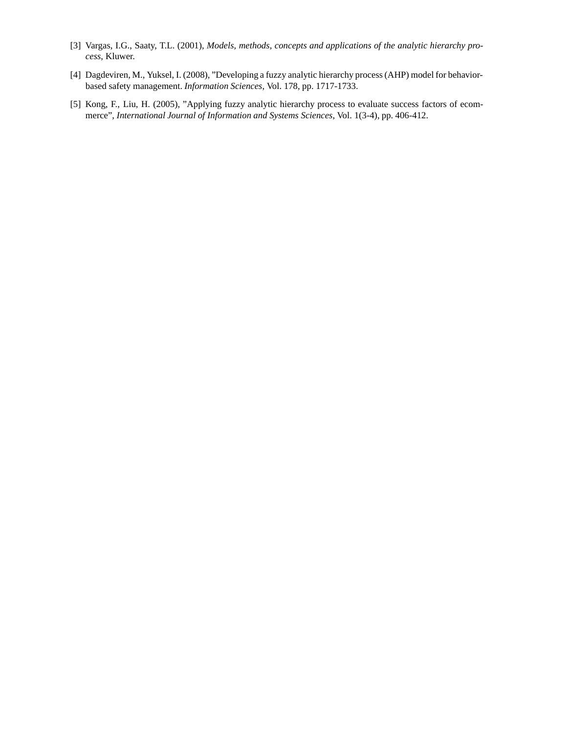- [3] Vargas, I.G., Saaty, T.L. (2001), *Models, methods, concepts and applications of the analytic hierarchy process*, Kluwer.
- [4] Dagdeviren, M., Yuksel, I. (2008), "Developing a fuzzy analytic hierarchy process (AHP) model for behaviorbased safety management. *Information Sciences*, Vol. 178, pp. 1717-1733.
- [5] Kong, F., Liu, H. (2005), "Applying fuzzy analytic hierarchy process to evaluate success factors of ecommerce", *International Journal of Information and Systems Sciences*, Vol. 1(3-4), pp. 406-412.